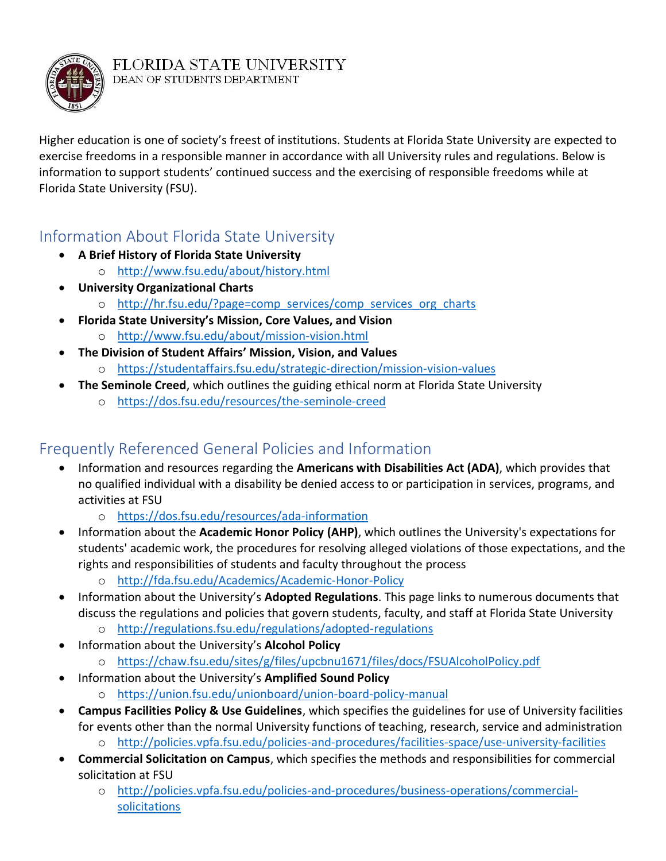

Higher education is one of society's freest of institutions. Students at Florida State University are expected to exercise freedoms in a responsible manner in accordance with all University rules and regulations. Below is information to support students' continued success and the exercising of responsible freedoms while at Florida State University (FSU).

### Information About Florida State University

- **A Brief History of Florida State University**
	- o <http://www.fsu.edu/about/history.html>
- **University Organizational Charts**
	- o [http://hr.fsu.edu/?page=comp\\_services/comp\\_services\\_org\\_charts](http://hr.fsu.edu/?page=comp_services/comp_services_org_charts)
- **Florida State University's Mission, Core Values, and Vision** o <http://www.fsu.edu/about/mission-vision.html>
	- **The Division of Student Affairs' Mission, Vision, and Values** o <https://studentaffairs.fsu.edu/strategic-direction/mission-vision-values>
- **The Seminole Creed**, which outlines the guiding ethical norm at Florida State University
	- o <https://dos.fsu.edu/resources/the-seminole-creed>

### Frequently Referenced General Policies and Information

- Information and resources regarding the **Americans with Disabilities Act (ADA)**, which provides that no qualified individual with a disability be denied access to or participation in services, programs, and activities at FSU
	- o <https://dos.fsu.edu/resources/ada-information>
- Information about the **Academic Honor Policy (AHP)**, which outlines the University's expectations for students' academic work, the procedures for resolving alleged violations of those expectations, and the rights and responsibilities of students and faculty throughout the process
	- o <http://fda.fsu.edu/Academics/Academic-Honor-Policy>
- Information about the University's **Adopted Regulations**. This page links to numerous documents that discuss the regulations and policies that govern students, faculty, and staff at Florida State University o <http://regulations.fsu.edu/regulations/adopted-regulations>
- Information about the University's **Alcohol Policy**
	- o <https://chaw.fsu.edu/sites/g/files/upcbnu1671/files/docs/FSUAlcoholPolicy.pdf>
	- Information about the University's **Amplified Sound Policy** o <https://union.fsu.edu/unionboard/union-board-policy-manual>
- **Campus Facilities Policy & Use Guidelines**, which specifies the guidelines for use of University facilities for events other than the normal University functions of teaching, research, service and administration
	- o <http://policies.vpfa.fsu.edu/policies-and-procedures/facilities-space/use-university-facilities>
- **Commercial Solicitation on Campus**, which specifies the methods and responsibilities for commercial solicitation at FSU
	- o [http://policies.vpfa.fsu.edu/policies-and-procedures/business-operations/commercial](http://policies.vpfa.fsu.edu/policies-and-procedures/business-operations/commercial-solicitations)[solicitations](http://policies.vpfa.fsu.edu/policies-and-procedures/business-operations/commercial-solicitations)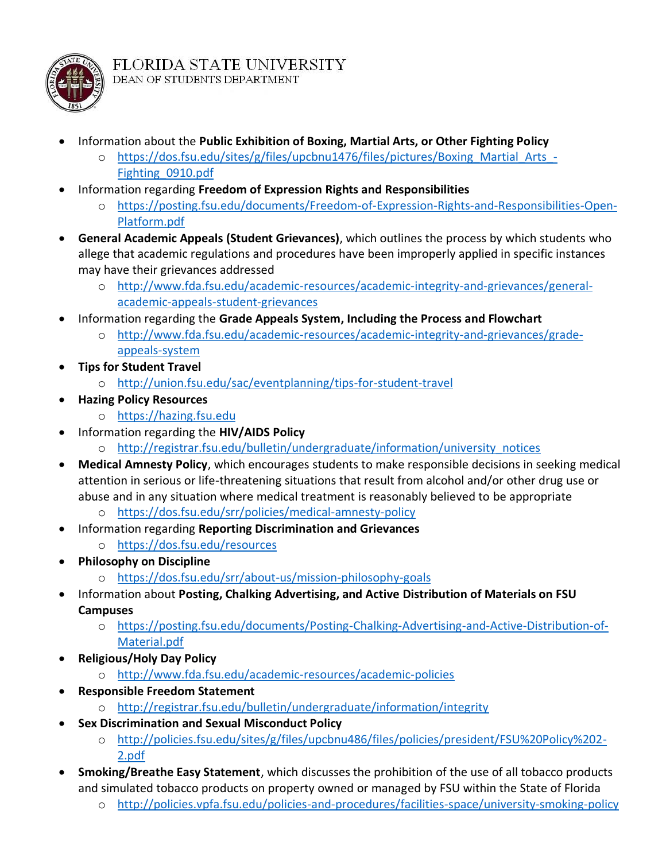

- Information about the **Public Exhibition of Boxing, Martial Arts, or Other Fighting Policy**
	- o [https://dos.fsu.edu/sites/g/files/upcbnu1476/files/pictures/Boxing\\_Martial\\_Arts\\_-](https://dos.fsu.edu/sites/g/files/upcbnu1476/files/pictures/Boxing_Martial_Arts_-Fighting_0910.pdf) [Fighting\\_0910.pdf](https://dos.fsu.edu/sites/g/files/upcbnu1476/files/pictures/Boxing_Martial_Arts_-Fighting_0910.pdf)
- Information regarding **Freedom of Expression Rights and Responsibilities**
	- o [https://posting.fsu.edu/documents/Freedom-of-Expression-Rights-and-Responsibilities-Open-](https://posting.fsu.edu/documents/Freedom-of-Expression-Rights-and-Responsibilities-Open-Platform.pdf)[Platform.pdf](https://posting.fsu.edu/documents/Freedom-of-Expression-Rights-and-Responsibilities-Open-Platform.pdf)
- **General Academic Appeals (Student Grievances)**, which outlines the process by which students who allege that academic regulations and procedures have been improperly applied in specific instances may have their grievances addressed
	- o [http://www.fda.fsu.edu/academic-resources/academic-integrity-and-grievances/general](http://www.fda.fsu.edu/academic-resources/academic-integrity-and-grievances/general-academic-appeals-student-grievances)[academic-appeals-student-grievances](http://www.fda.fsu.edu/academic-resources/academic-integrity-and-grievances/general-academic-appeals-student-grievances)
- Information regarding the **Grade Appeals System, Including the Process and Flowchart**
	- o [http://www.fda.fsu.edu/academic-resources/academic-integrity-and-grievances/grade](http://www.fda.fsu.edu/academic-resources/academic-integrity-and-grievances/grade-appeals-system)[appeals-system](http://www.fda.fsu.edu/academic-resources/academic-integrity-and-grievances/grade-appeals-system)
- **Tips for Student Travel**
	- o <http://union.fsu.edu/sac/eventplanning/tips-for-student-travel>
- **Hazing Policy Resources**
	- o [https://hazing.fsu.edu](https://hazing.fsu.edu/)
- Information regarding the **HIV/AIDS Policy**
	- o [http://registrar.fsu.edu/bulletin/undergraduate/information/university\\_notices](http://registrar.fsu.edu/bulletin/undergraduate/information/university_notices)
- **Medical Amnesty Policy**, which encourages students to make responsible decisions in seeking medical attention in serious or life-threatening situations that result from alcohol and/or other drug use or abuse and in any situation where medical treatment is reasonably believed to be appropriate
	- o <https://dos.fsu.edu/srr/policies/medical-amnesty-policy>
- Information regarding **Reporting Discrimination and Grievances**
	- o <https://dos.fsu.edu/resources>
- **Philosophy on Discipline**
	- o <https://dos.fsu.edu/srr/about-us/mission-philosophy-goals>
- Information about **Posting, Chalking Advertising, and Active Distribution of Materials on FSU Campuses**
	- o [https://posting.fsu.edu/documents/Posting-Chalking-Advertising-and-Active-Distribution-of-](https://posting.fsu.edu/documents/Posting-Chalking-Advertising-and-Active-Distribution-of-Material.pdf)[Material.pdf](https://posting.fsu.edu/documents/Posting-Chalking-Advertising-and-Active-Distribution-of-Material.pdf)
	- **Religious/Holy Day Policy**
		- o <http://www.fda.fsu.edu/academic-resources/academic-policies>
- **Responsible Freedom Statement**
	- o <http://registrar.fsu.edu/bulletin/undergraduate/information/integrity>
- **Sex Discrimination and Sexual Misconduct Policy**
	- o [http://policies.fsu.edu/sites/g/files/upcbnu486/files/policies/president/FSU%20Policy%202-](http://policies.fsu.edu/sites/g/files/upcbnu486/files/policies/president/FSU%20Policy%202-2.pdf) [2.pdf](http://policies.fsu.edu/sites/g/files/upcbnu486/files/policies/president/FSU%20Policy%202-2.pdf)
- **Smoking/Breathe Easy Statement**, which discusses the prohibition of the use of all tobacco products and simulated tobacco products on property owned or managed by FSU within the State of Florida
	- o <http://policies.vpfa.fsu.edu/policies-and-procedures/facilities-space/university-smoking-policy>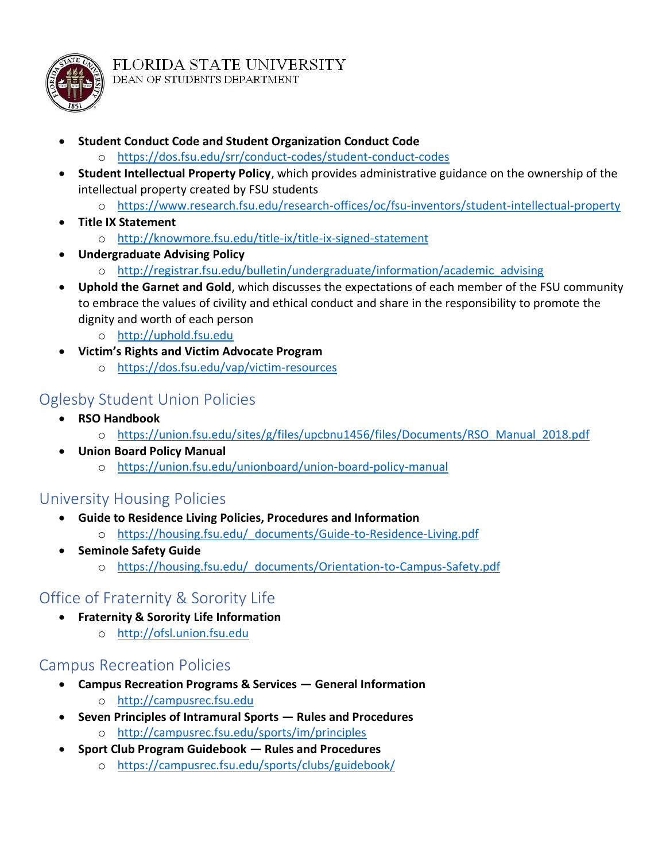

- **Student Conduct Code and Student Organization Conduct Code**
	- o <https://dos.fsu.edu/srr/conduct-codes/student-conduct-codes>
- **Student Intellectual Property Policy**, which provides administrative guidance on the ownership of the intellectual property created by FSU students
	- o <https://www.research.fsu.edu/research-offices/oc/fsu-inventors/student-intellectual-property>
- **Title IX Statement**
	- o <http://knowmore.fsu.edu/title-ix/title-ix-signed-statement>
- **Undergraduate Advising Policy**
	- o [http://registrar.fsu.edu/bulletin/undergraduate/information/academic\\_advising](http://registrar.fsu.edu/bulletin/undergraduate/information/academic_advising)
- **Uphold the Garnet and Gold**, which discusses the expectations of each member of the FSU community to embrace the values of civility and ethical conduct and share in the responsibility to promote the dignity and worth of each person
	- o [http://uphold.fsu.edu](http://uphold.fsu.edu/)
- **Victim's Rights and Victim Advocate Program**
	- o <https://dos.fsu.edu/vap/victim-resources>

#### Oglesby Student Union Policies

- **RSO Handbook**
	- o [https://union.fsu.edu/sites/g/files/upcbnu1456/files/Documents/RSO\\_Manual\\_2018.pdf](https://union.fsu.edu/sites/g/files/upcbnu1456/files/Documents/RSO_Manual_2018.pdf)
- **Union Board Policy Manual**
	- o <https://union.fsu.edu/unionboard/union-board-policy-manual>

#### University Housing Policies

- **Guide to Residence Living Policies, Procedures and Information** o [https://housing.fsu.edu/\\_documents/Guide-to-Residence-Living.pdf](https://housing.fsu.edu/_documents/Guide-to-Residence-Living.pdf)
- **Seminole Safety Guide**
	- o [https://housing.fsu.edu/\\_documents/Orientation-to-Campus-Safety.pdf](https://housing.fsu.edu/_documents/Orientation-to-Campus-Safety.pdf)

### Office of Fraternity & Sorority Life

- **Fraternity & Sorority Life Information**
	- o [http://ofsl.union.fsu.edu](http://ofsl.union.fsu.edu/)

#### Campus Recreation Policies

- **Campus Recreation Programs & Services — General Information**
	- o [http://campusrec.fsu.edu](http://campusrec.fsu.edu/)
- **Seven Principles of Intramural Sports — Rules and Procedures** o <http://campusrec.fsu.edu/sports/im/principles>
- **Sport Club Program Guidebook — Rules and Procedures**
	- o <https://campusrec.fsu.edu/sports/clubs/guidebook/>